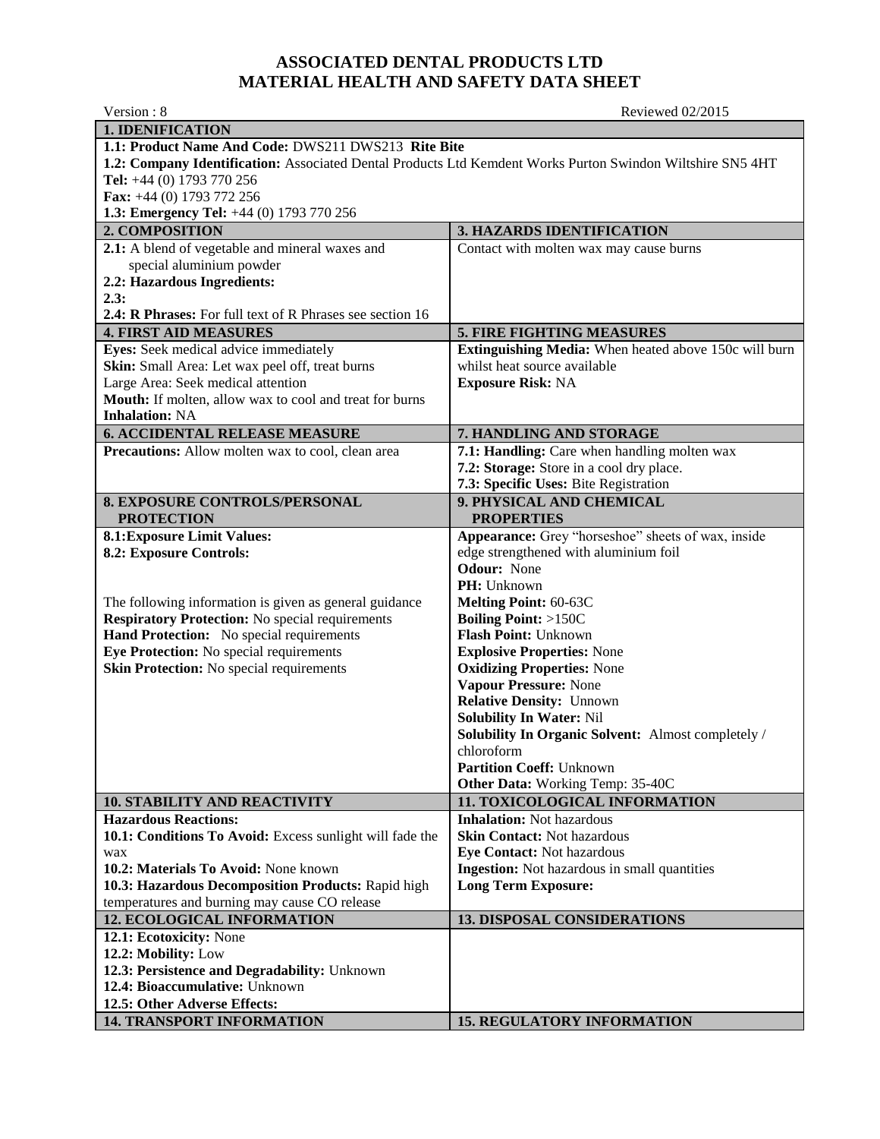## **ASSOCIATED DENTAL PRODUCTS LTD MATERIAL HEALTH AND SAFETY DATA SHEET**

Version : 8 Reviewed 02/2015 **1. IDENIFICATION 1.1: Product Name And Code:** DWS211 DWS213 **Rite Bite 1.2: Company Identification:** Associated Dental Products Ltd Kemdent Works Purton Swindon Wiltshire SN5 4HT **Tel:** +44 (0) 1793 770 256 **Fax:** +44 (0) 1793 772 256 **1.3: Emergency Tel:** +44 (0) 1793 770 256 **2. COMPOSITION 3. HAZARDS IDENTIFICATION 2.1:** A blend of vegetable and mineral waxes and special aluminium powder **2.2: Hazardous Ingredients: 2.3: 2.4: R Phrases:** For full text of R Phrases see section 16 Contact with molten wax may cause burns **4. FIRST AID MEASURES** 5. FIRE FIGHTING MEASURES **Eyes:** Seek medical advice immediately **Skin:** Small Area: Let wax peel off, treat burns Large Area: Seek medical attention **Mouth:** If molten, allow wax to cool and treat for burns **Inhalation:** NA **Extinguishing Media:** When heated above 150c will burn whilst heat source available **Exposure Risk:** NA **6. ACCIDENTAL RELEASE MEASURE 7. HANDLING AND STORAGE Precautions:** Allow molten wax to cool, clean area **7.1: Handling:** Care when handling molten wax **7.2: Storage:** Store in a cool dry place. **7.3: Specific Uses:** Bite Registration **8. EXPOSURE CONTROLS/PERSONAL PROTECTION 9. PHYSICAL AND CHEMICAL PROPERTIES 8.1:Exposure Limit Values: 8.2: Exposure Controls:** The following information is given as general guidance **Respiratory Protection:** No special requirements **Hand Protection:** No special requirements **Eye Protection:** No special requirements **Skin Protection:** No special requirements **Appearance:** Grey "horseshoe" sheets of wax, inside edge strengthened with aluminium foil **Odour:** None **PH:** Unknown **Melting Point:** 60-63C **Boiling Point:** >150C **Flash Point:** Unknown **Explosive Properties:** None **Oxidizing Properties:** None **Vapour Pressure:** None **Relative Density:** Unnown **Solubility In Water:** Nil **Solubility In Organic Solvent:** Almost completely / chloroform **Partition Coeff:** Unknown **Other Data:** Working Temp: 35-40C **10. STABILITY AND REACTIVITY 11. TOXICOLOGICAL INFORMATION Hazardous Reactions: 10.1: Conditions To Avoid:** Excess sunlight will fade the wax **10.2: Materials To Avoid:** None known **10.3: Hazardous Decomposition Products:** Rapid high temperatures and burning may cause CO release **Inhalation:** Not hazardous **Skin Contact:** Not hazardous **Eye Contact:** Not hazardous **Ingestion:** Not hazardous in small quantities **Long Term Exposure: 12. ECOLOGICAL INFORMATION 13. DISPOSAL CONSIDERATIONS 12.1: Ecotoxicity:** None **12.2: Mobility:** Low **12.3: Persistence and Degradability:** Unknown **12.4: Bioaccumulative:** Unknown **12.5: Other Adverse Effects: 15. REGULATORY INFORMATION**